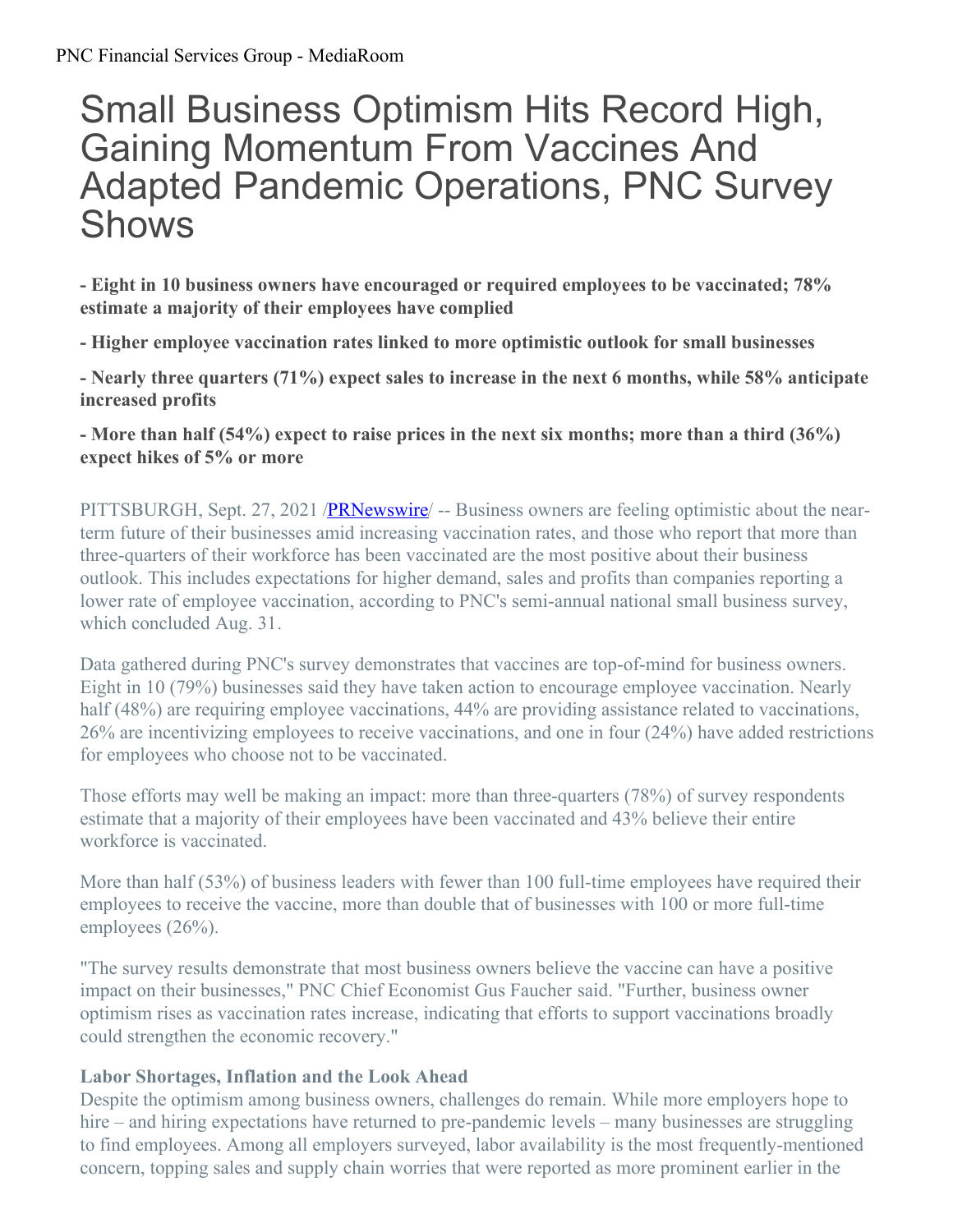# Small Business Optimism Hits Record High, Gaining Momentum From Vaccines And Adapted Pandemic Operations, PNC Survey Shows

**- Eight in 10 business owners have encouraged or required employees to be vaccinated; 78% estimate a majority of their employees have complied**

**- Higher employee vaccination rates linked to more optimistic outlook for small businesses**

**- Nearly three quarters (71%) expect sales to increase in the next 6 months, while 58% anticipate increased profits**

- More than half  $(54\%)$  expect to raise prices in the next six months; more than a third  $(36\%)$ **expect hikes of 5% or more**

PITTSBURGH, Sept. 27, 2021 /**PRNewswire** – Business owners are feeling optimistic about the nearterm future of their businesses amid increasing vaccination rates, and those who report that more than three-quarters of their workforce has been vaccinated are the most positive about their business outlook. This includes expectations for higher demand, sales and profits than companies reporting a lower rate of employee vaccination, according to PNC's semi-annual national small business survey, which concluded Aug. 31.

Data gathered during PNC's survey demonstrates that vaccines are top-of-mind for business owners. Eight in 10 (79%) businesses said they have taken action to encourage employee vaccination. Nearly half (48%) are requiring employee vaccinations, 44% are providing assistance related to vaccinations, 26% are incentivizing employees to receive vaccinations, and one in four (24%) have added restrictions for employees who choose not to be vaccinated.

Those efforts may well be making an impact: more than three-quarters (78%) of survey respondents estimate that a majority of their employees have been vaccinated and 43% believe their entire workforce is vaccinated.

More than half (53%) of business leaders with fewer than 100 full-time employees have required their employees to receive the vaccine, more than double that of businesses with 100 or more full-time employees  $(26%)$ .

"The survey results demonstrate that most business owners believe the vaccine can have a positive impact on their businesses," PNC Chief Economist Gus Faucher said. "Further, business owner optimism rises as vaccination rates increase, indicating that efforts to support vaccinations broadly could strengthen the economic recovery."

## **Labor Shortages, Inflation and the Look Ahead**

Despite the optimism among business owners, challenges do remain. While more employers hope to hire – and hiring expectations have returned to pre-pandemic levels – many businesses are struggling to find employees. Among all employers surveyed, labor availability is the most frequently-mentioned concern, topping sales and supply chain worries that were reported as more prominent earlier in the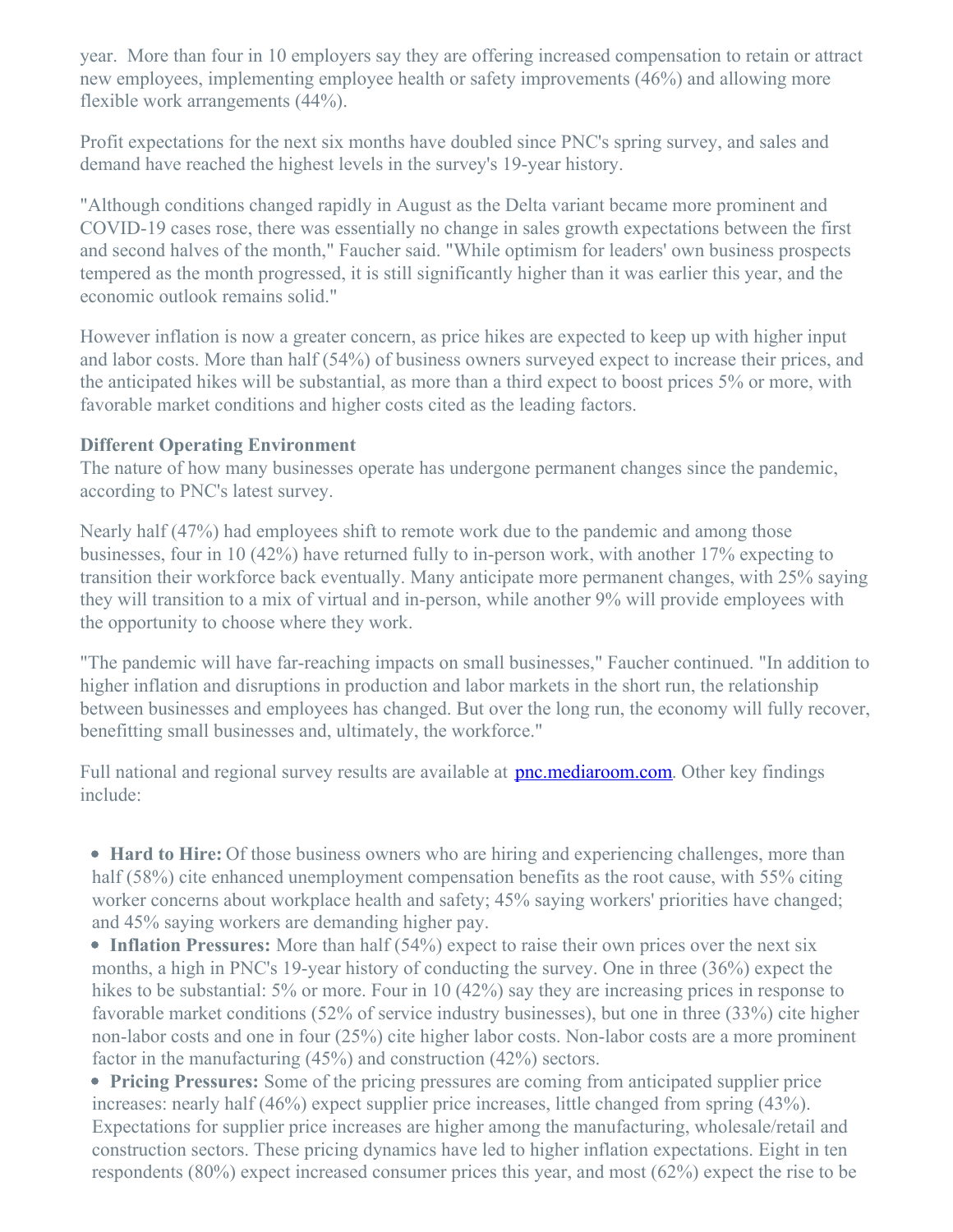year. More than four in 10 employers say they are offering increased compensation to retain or attract new employees, implementing employee health or safety improvements (46%) and allowing more flexible work arrangements (44%).

Profit expectations for the next six months have doubled since PNC's spring survey, and sales and demand have reached the highest levels in the survey's 19-year history.

"Although conditions changed rapidly in August as the Delta variant became more prominent and COVID-19 cases rose, there was essentially no change in sales growth expectations between the first and second halves of the month," Faucher said. "While optimism for leaders' own business prospects tempered as the month progressed, it is still significantly higher than it was earlier this year, and the economic outlook remains solid."

However inflation is now a greater concern, as price hikes are expected to keep up with higher input and labor costs. More than half (54%) of business owners surveyed expect to increase their prices, and the anticipated hikes will be substantial, as more than a third expect to boost prices 5% or more, with favorable market conditions and higher costs cited as the leading factors.

#### **Different Operating Environment**

The nature of how many businesses operate has undergone permanent changes since the pandemic, according to PNC's latest survey.

Nearly half (47%) had employees shift to remote work due to the pandemic and among those businesses, four in 10 (42%) have returned fully to in-person work, with another 17% expecting to transition their workforce back eventually. Many anticipate more permanent changes, with 25% saying they will transition to a mix of virtual and in-person, while another 9% will provide employees with the opportunity to choose where they work.

"The pandemic will have far-reaching impacts on small businesses," Faucher continued. "In addition to higher inflation and disruptions in production and labor markets in the short run, the relationship between businesses and employees has changed. But over the long run, the economy will fully recover, benefitting small businesses and, ultimately, the workforce."

Full national and regional survey results are available at **[pnc.mediaroom.com](https://c212.net/c/link/?t=0&l=en&o=3300958-1&h=3559222014&u=https%3A%2F%2Fpnc.mediaroom.com%2Fdigital-packages&a=pnc.mediaroom.com)**. Other key findings include:

**Hard to Hire:** Of those business owners who are hiring and experiencing challenges, more than half (58%) cite enhanced unemployment compensation benefits as the root cause, with 55% citing worker concerns about workplace health and safety; 45% saying workers' priorities have changed; and 45% saying workers are demanding higher pay.

• **Inflation Pressures:** More than half (54%) expect to raise their own prices over the next six months, a high in PNC's 19-year history of conducting the survey. One in three (36%) expect the hikes to be substantial: 5% or more. Four in 10 (42%) say they are increasing prices in response to favorable market conditions (52% of service industry businesses), but one in three (33%) cite higher non-labor costs and one in four (25%) cite higher labor costs. Non-labor costs are a more prominent factor in the manufacturing (45%) and construction (42%) sectors.

**Pricing Pressures:** Some of the pricing pressures are coming from anticipated supplier price increases: nearly half (46%) expect supplier price increases, little changed from spring (43%). Expectations for supplier price increases are higher among the manufacturing, wholesale/retail and construction sectors. These pricing dynamics have led to higher inflation expectations. Eight in ten respondents (80%) expect increased consumer prices this year, and most (62%) expect the rise to be